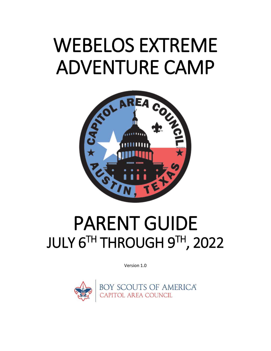# WEBELOS EXTREME ADVENTURE CAMP



## PARENT GUIDE JULY 6TH THROUGH 9TH, 2022

Version 1.0

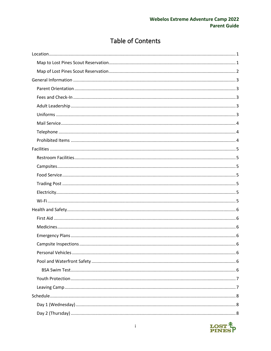## **Table of Contents**

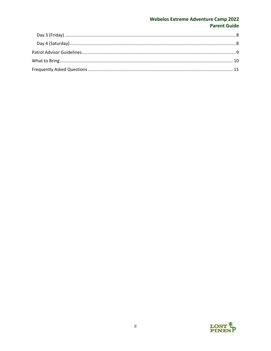#### **Webelos Extreme Adventure Camp 2022 Parent Guide**

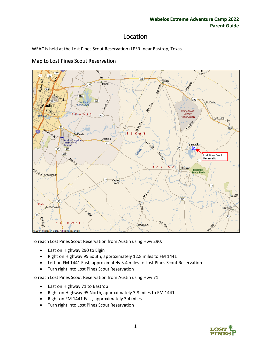## Location

<span id="page-3-0"></span>WEAC is held at the Lost Pines Scout Reservation (LPSR) near Bastrop, Texas.



#### <span id="page-3-1"></span>Map to Lost Pines Scout Reservation

To reach Lost Pines Scout Reservation from Austin using Hwy 290:

- East on Highway 290 to Elgin
- Right on Highway 95 South, approximately 12.8 miles to FM 1441
- Left on FM 1441 East, approximately 3.4 miles to Lost Pines Scout Reservation
- Turn right into Lost Pines Scout Reservation

To reach Lost Pines Scout Reservation from Austin using Hwy 71:

- East on Highway 71 to Bastrop
- Right on Highway 95 North, approximately 3.8 miles to FM 1441
- Right on FM 1441 East, approximately 3.4 miles
- Turn right into Lost Pines Scout Reservation

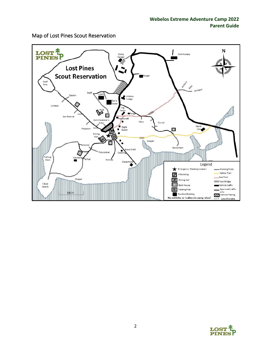

<span id="page-4-0"></span>Map of Lost Pines Scout Reservation

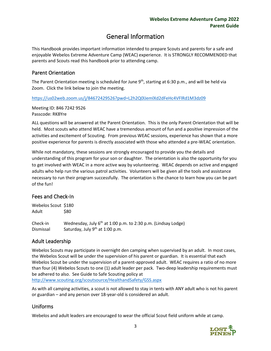## General Information

<span id="page-5-0"></span>This Handbook provides important information intended to prepare Scouts and parents for a safe and enjoyable Webelos Extreme Adventure Camp (WEAC) experience. It is STRONGLY RECOMMENDED that parents and Scouts read this handbook prior to attending camp.

#### <span id="page-5-1"></span>Parent Orientation

The Parent Orientation meeting is scheduled for June  $9<sup>th</sup>$ , starting at 6:30 p.m., and will be held via Zoom. Click the link below to join the meeting.

<https://us02web.zoom.us/j/84672429526?pwd=L2h2Q0lJemlXd2dFeHc4VFlRd1M3dz09>

Meeting ID: 846 7242 9526 Passcode: RK8Yre

ALL questions will be answered at the Parent Orientation. This is the only Parent Orientation that will be held. Most scouts who attend WEAC have a tremendous amount of fun and a positive impression of the activities and excitement of Scouting. From previous WEAC sessions, experience has shown that a more positive experience for parents is directly associated with those who attended a pre-WEAC orientation.

While not mandatory, these sessions are strongly encouraged to provide you the details and understanding of this program for your son or daughter. The orientation is also the opportunity for you to get involved with WEAC in a more active way by volunteering. WEAC depends on active and engaged adults who help run the various patrol activities. Volunteers will be given all the tools and assistance necessary to run their program successfully. The orientation is the chance to learn how you can be part of the fun!

#### <span id="page-5-2"></span>Fees and Check-In

Webelos Scout \$180 Adult \$80 Check-in Wednesday, July 6th at 1:00 p.m. to 2:30 p.m. (Lindsay Lodge) Dismissal Saturday, July  $9<sup>th</sup>$  at 1:00 p.m.

#### <span id="page-5-3"></span>Adult Leadership

Webelos Scouts may participate in overnight den camping when supervised by an adult. In most cases, the Webelos Scout will be under the supervision of his parent or guardian. It is essential that each Webelos Scout be under the supervision of a parent-approved adult. WEAC requires a ratio of no more than four (4) Webelos Scouts to one (1) adult leader per pack. Two-deep leadership requirements must be adhered to also. See Guide to Safe Scouting policy at <http://www.scouting.org/scoutsource/HealthandSafety/GSS.aspx>

As with all camping activities, a scout is not allowed to stay in tents with ANY adult who is not his parent or guardian – and any person over 18-year-old is considered an adult.

#### <span id="page-5-4"></span>Uniforms

Webelos and adult leaders are encouraged to wear the official Scout field uniform while at camp.

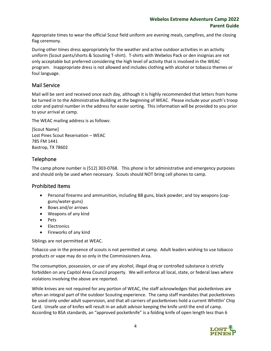#### **Webelos Extreme Adventure Camp 2022 Parent Guide**

Appropriate times to wear the official Scout field uniform are evening meals, campfires, and the closing flag ceremony.

During other times dress appropriately for the weather and active outdoor activities in an activity uniform (Scout pants/shorts & Scouting T-shirt). T-shirts with Webelos Pack or den insignias are not only acceptable but preferred considering the high level of activity that is involved in the WEAC program. Inappropriate dress is not allowed and includes clothing with alcohol or tobacco themes or foul language.

#### <span id="page-6-0"></span>Mail Service

Mail will be sent and received once each day, although it is highly recommended that letters from home be turned in to the Administrative Building at the beginning of WEAC. Please include your youth's troop color and patrol number in the address for easier sorting. This information will be provided to you prior to your arrival at camp.

The WEAC mailing address is as follows:

[Scout Name] Lost Pines Scout Reservation – WEAC 785 FM 1441 Bastrop, TX 78602

#### <span id="page-6-1"></span>Telephone

The camp phone number is (512) 303-0768. This phone is for administrative and emergency purposes and should only be used when necessary. Scouts should NOT bring cell phones to camp.

#### <span id="page-6-2"></span>Prohibited Items

- Personal firearms and ammunition, including BB guns, black powder, and toy weapons (capguns/water-guns)
- Bows and/or arrows
- Weapons of any kind
- Pets
- Electronics
- Fireworks of any kind

Siblings are not permitted at WEAC.

Tobacco use in the presence of scouts is not permitted at camp. Adult leaders wishing to use tobacco products or vape may do so only in the Commissioners Area.

The consumption, possession, or use of any alcohol, illegal drug or controlled substance is strictly forbidden on any Capitol Area Council property. We will enforce all local, state, or federal laws where violations involving the above are reported.

While knives are not required for any portion of WEAC, the staff acknowledges that pocketknives are often an integral part of the outdoor Scouting experience. The camp staff mandates that pocketknives be used only under adult supervision, and that all carriers of pocketknives hold a current Whittlin' Chip Card. Unsafe use of knifes will result in an adult advisor keeping the knife until the end of camp. According to BSA standards, an "approved pocketknife" is a folding knife of open length less than 6

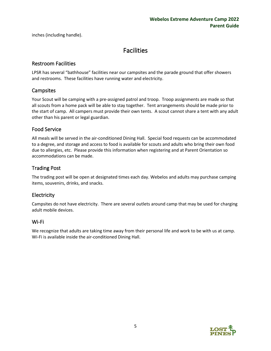<span id="page-7-0"></span>inches (including handle).

### **Facilities**

#### <span id="page-7-1"></span>Restroom Facilities

LPSR has several "bathhouse" facilities near our campsites and the parade ground that offer showers and restrooms. These facilities have running water and electricity.

#### <span id="page-7-2"></span>**Campsites**

Your Scout will be camping with a pre-assigned patrol and troop. Troop assignments are made so that all scouts from a home pack will be able to stay together. Tent arrangements should be made prior to the start of camp. All campers must provide their own tents. A scout cannot share a tent with any adult other than his parent or legal guardian.

#### <span id="page-7-3"></span>Food Service

All meals will be served in the air-conditioned Dining Hall. Special food requests can be accommodated to a degree, and storage and access to food is available for scouts and adults who bring their own food due to allergies, etc. Please provide this information when registering and at Parent Orientation so accommodations can be made.

#### <span id="page-7-4"></span>Trading Post

The trading post will be open at designated times each day. Webelos and adults may purchase camping items, souvenirs, drinks, and snacks.

#### <span id="page-7-5"></span>**Electricity**

Campsites do not have electricity. There are several outlets around camp that may be used for charging adult mobile devices.

#### <span id="page-7-6"></span>Wi-Fi

We recognize that adults are taking time away from their personal life and work to be with us at camp. Wi-Fi is available inside the air-conditioned Dining Hall.

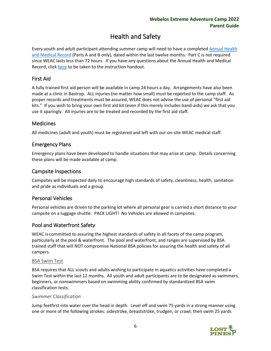## Health and Safety

<span id="page-8-0"></span>Every youth and adult participant attending summer camp will need to have a completed [Annual Health](https://filestore.scouting.org/filestore/healthsafety/pdf/680-001_abc.pdf)  [and Medical Record](https://filestore.scouting.org/filestore/healthsafety/pdf/680-001_abc.pdf) (Parts A and B only), dated within the last twelve months. Part C is not required since WEAC lasts less than 72 hours. If you have any questions about the Annual Health and Medical Record, clic[k here](https://filestore.scouting.org/filestore/HealthSafety/pdf/680-001_instruction.pdf?_gl=1*p9qdrn*_ga*MjEyNTYyMzAyNy4xNjM1Nzg2MjMy*_ga_20G0JHESG4*MTY0MjE4MzAxNC4zMS4xLjE2NDIxODMxNzEuNjA.&_ga=2.236231617.1330801375.1642085550-2125623027.1635786232) to be taken to the instruction handout.

#### <span id="page-8-1"></span>First Aid

A fully trained first aid person will be available in camp 24 hours a day. Arrangements have also been made at a clinic in Bastrop. ALL injuries (no matter how small) must be reported to the camp staff. As proper records and treatments must be assured, WEAC does not advise the use of personal "first aid kits." If you wish to bring your own first aid kit (even if this merely includes band-aids) we ask that you use it sparingly. All injuries are to be treated and recorded by the first aid staff.

#### <span id="page-8-2"></span>**Medicines**

All medicines (adult and youth) must be registered and left with our on-site WEAC medical staff.

#### <span id="page-8-3"></span>Emergency Plans

Emergency plans have been developed to handle situations that may arise at camp. Details concerning these plans will be made available at camp.

#### <span id="page-8-4"></span>Campsite Inspections

Campsites will be inspected daily to encourage high standards of safety, cleanliness, health, sanitation and pride as individuals and a group.

#### <span id="page-8-5"></span>Personal Vehicles

Personal vehicles are driven to the parking lot where all personal gear is carried a short distance to your campsite on a luggage shuttle. PACK LIGHT! No Vehicles are allowed in campsites.

#### <span id="page-8-6"></span>Pool and Waterfront Safety

WEAC is committed to assuring the highest standards of safety in all facets of the camp program, particularly at the pool & waterfront. The pool and waterfront, and ranges are supervised by BSA trained staff that will NOT compromise National BSA policies for assuring the health and safety of all campers.

#### <span id="page-8-7"></span>BSA Swim Test

BSA requires that ALL scouts and adults wishing to participate in aquatics activities have completed a Swim Test within the last 12 months. All youth and adult participants are to be designated as swimmers, beginners, or nonswimmers based on swimming ability confirmed by standardized BSA swim classification tests.

#### *Swimmer Classification*

Jump feetfirst into water over the head in depth. Level off and swim 75 yards in a strong manner using one or more of the following strokes: sidestroke, breaststroke, trudgen, or crawl; then swim 25 yards

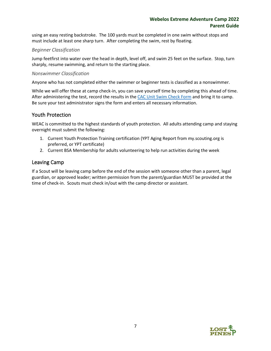using an easy resting backstroke. The 100 yards must be completed in one swim without stops and must include at least one sharp turn. After completing the swim, rest by floating.

#### *Beginner Classification*

Jump feetfirst into water over the head in depth, level off, and swim 25 feet on the surface. Stop, turn sharply, resume swimming, and return to the starting place.

#### *Nonswimmer Classification*

Anyone who has not completed either the swimmer or beginner tests is classified as a nonswimmer.

While we will offer these at camp check-in, you can save yourself time by completing this ahead of time. After administering the test, record the results in the [CAC Unit Swim Check Form](https://www.bsacac.org/my_files/bsa_capitol_area_council_unit__swim_check-2013.pdf) and bring it to camp. Be sure your test administrator signs the form and enters all necessary information.

#### <span id="page-9-0"></span>Youth Protection

WEAC is committed to the highest standards of youth protection. All adults attending camp and staying overnight must submit the following:

- 1. Current Youth Protection Training certification (YPT Aging Report from my.scouting.org is preferred, or YPT certificate)
- 2. Current BSA Membership for adults volunteering to help run activities during the week

#### <span id="page-9-1"></span>Leaving Camp

If a Scout will be leaving camp before the end of the session with someone other than a parent, legal guardian, or approved leader; written permission from the parent/guardian MUST be provided at the time of check-in. Scouts must check in/out with the camp director or assistant.

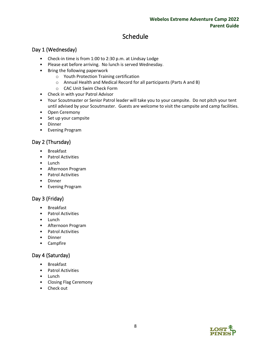## Schedule

#### <span id="page-10-1"></span><span id="page-10-0"></span>Day 1 (Wednesday)

- Check-in time is from 1:00 to 2:30 p.m. at Lindsay Lodge
- Please eat before arriving. No lunch is served Wednesday.
- Bring the following paperwork
	- o Youth Protection Training certification
	- o Annual Health and Medical Record for all participants (Parts A and B)
	- o CAC Unit Swim Check Form
- Check in with your Patrol Advisor
- Your Scoutmaster or Senior Patrol leader will take you to your campsite. Do not pitch your tent until advised by your Scoutmaster. Guests are welcome to visit the campsite and camp facilities.
- Open Ceremony
- Set up your campsite
- Dinner
- Evening Program

#### <span id="page-10-2"></span>Day 2 (Thursday)

- **Breakfast**
- Patrol Activities
- Lunch
- Afternoon Program
- Patrol Activities
- Dinner
- Evening Program

#### <span id="page-10-3"></span>Day 3 (Friday)

- Breakfast
- Patrol Activities
- Lunch
- Afternoon Program
- Patrol Activities
- Dinner
- Campfire

#### <span id="page-10-4"></span>Day 4 (Saturday)

- Breakfast
- Patrol Activities
- Lunch
- Closing Flag Ceremony
- <span id="page-10-5"></span>• Check out

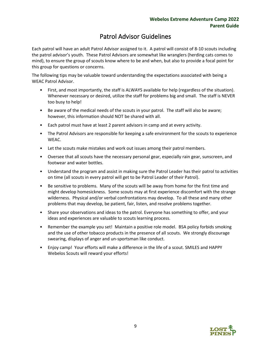### Patrol Advisor Guidelines

Each patrol will have an adult Patrol Advisor assigned to it. A patrol will consist of 8-10 scouts including the patrol advisor's youth. These Patrol Advisors are somewhat like wranglers (herding cats comes to mind), to ensure the group of scouts know where to be and when, but also to provide a focal point for this group for questions or concerns.

The following tips may be valuable toward understanding the expectations associated with being a WEAC Patrol Advisor.

- First, and most importantly, the staff is ALWAYS available for help (regardless of the situation). Whenever necessary or desired, utilize the staff for problems big and small. The staff is NEVER too busy to help!
- Be aware of the medical needs of the scouts in your patrol. The staff will also be aware; however, this information should NOT be shared with all.
- Each patrol must have at least 2 parent advisors in camp and at every activity.
- The Patrol Advisors are responsible for keeping a safe environment for the scouts to experience WEAC.
- Let the scouts make mistakes and work out issues among their patrol members.
- Oversee that all scouts have the necessary personal gear, especially rain gear, sunscreen, and footwear and water bottles.
- Understand the program and assist in making sure the Patrol Leader has their patrol to activities on time (all scouts in every patrol will get to be Patrol Leader of their Patrol).
- Be sensitive to problems. Many of the scouts will be away from home for the first time and might develop homesickness. Some scouts may at first experience discomfort with the strange wilderness. Physical and/or verbal confrontations may develop. To all these and many other problems that may develop, be patient, fair, listen, and resolve problems together.
- Share your observations and ideas to the patrol. Everyone has something to offer, and your ideas and experiences are valuable to scouts learning process.
- Remember the example you set! Maintain a positive role model. BSA policy forbids smoking and the use of other tobacco products in the presence of all scouts. We strongly discourage swearing, displays of anger and un-sportsman like conduct.
- Enjoy camp! Your efforts will make a difference in the life of a scout. SMILES and HAPPY Webelos Scouts will reward your efforts!

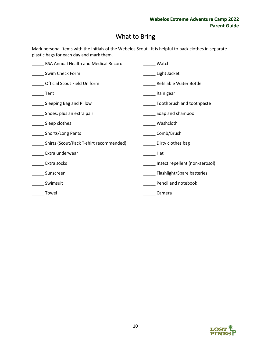## What to Bring

<span id="page-12-0"></span>Mark personal items with the initials of the Webelos Scout. It is helpful to pack clothes in separate plastic bags for each day and mark them.

| <b>BSA Annual Health and Medical Record</b> | Watch                          |
|---------------------------------------------|--------------------------------|
| Swim Check Form                             | Light Jacket                   |
| <b>Official Scout Field Uniform</b>         | <b>Refillable Water Bottle</b> |
| Tent                                        | Rain gear                      |
| Sleeping Bag and Pillow                     | Toothbrush and toothpaste      |
| Shoes, plus an extra pair                   | Soap and shampoo               |
| Sleep clothes                               | Washcloth                      |
| Shorts/Long Pants                           | Comb/Brush                     |
| Shirts (Scout/Pack T-shirt recommended)     | Dirty clothes bag              |
| Extra underwear                             | Hat                            |
| Extra socks                                 | Insect repellent (non-aerosol) |
| Sunscreen                                   | Flashlight/Spare batteries     |
| Swimsuit                                    | Pencil and notebook            |
| Towel                                       | Camera                         |
|                                             |                                |